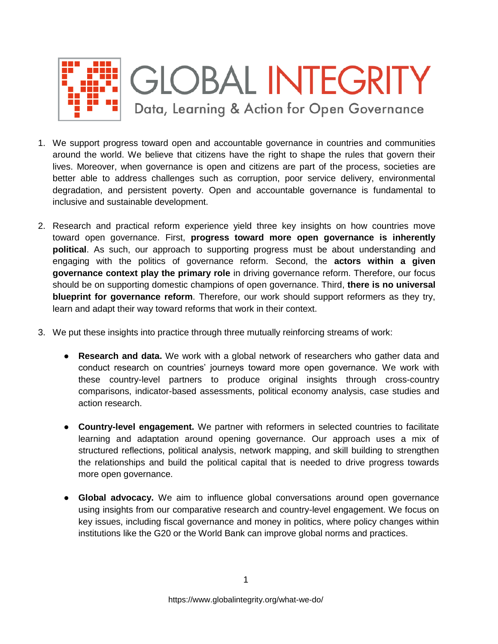

- 1. We support progress toward open and accountable governance in countries and communities around the world. We believe that citizens have the right to shape the rules that govern their lives. Moreover, when governance is open and citizens are part of the process, societies are better able to address challenges such as corruption, poor service delivery, environmental degradation, and persistent poverty. Open and accountable governance is fundamental to inclusive and sustainable development.
- 2. Research and practical reform experience yield three key insights on how countries move toward open governance. First, **progress toward more open governance is inherently political**. As such, our approach to supporting progress must be about understanding and engaging with the politics of governance reform. Second, the **actors within a given governance context play the primary role** in driving governance reform. Therefore, our focus should be on supporting domestic champions of open governance. Third, **there is no universal blueprint for governance reform**. Therefore, our work should support reformers as they try, learn and adapt their way toward reforms that work in their context.
- 3. We put these insights into practice through three mutually reinforcing streams of work:
	- **Research and data.** We work with a global network of researchers who gather data and conduct research on countries' journeys toward more open governance. We work with these country-level partners to produce original insights through cross-country comparisons, indicator-based assessments, political economy analysis, case studies and action research.
	- **Country-level engagement.** We partner with reformers in selected countries to facilitate learning and adaptation around opening governance. Our approach uses a mix of structured reflections, political analysis, network mapping, and skill building to strengthen the relationships and build the political capital that is needed to drive progress towards more open governance.
	- **Global advocacy.** We aim to influence global conversations around open governance using insights from our comparative research and country-level engagement. We focus on key issues, including fiscal governance and money in politics, where policy changes within institutions like the G20 or the World Bank can improve global norms and practices.